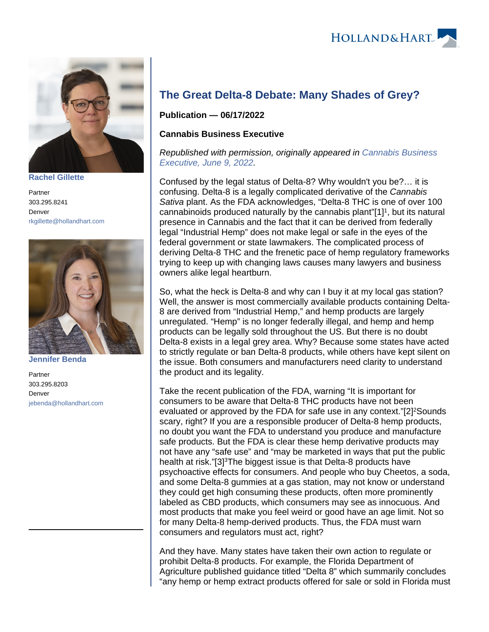

**[Rachel Gillette](https://www.hollandhart.com/39547)**

Partner 303.295.8241 Denver [rkgillette@hollandhart.com](mailto:rkgillette@hollandhart.com)



**[Jennifer Benda](https://www.hollandhart.com/42237)**

Partner 303.295.8203 Denver [jebenda@hollandhart.com](mailto:jebenda@hollandhart.com)

## **The Great Delta-8 Debate: Many Shades of Grey?**

**Publication — 06/17/2022**

## **Cannabis Business Executive**

Republished with permission, originally appeared in [Cannabis Business](https://www.cannabisbusinessexecutive.com/2022/06/the-great-delta-8-debate-many-shades-of-grey/)  [Executive, June 9, 2022](https://www.cannabisbusinessexecutive.com/2022/06/the-great-delta-8-debate-many-shades-of-grey/).

Confused by the legal status of Delta-8? Why wouldn't you be?… it is confusing. Delta-8 is a legally complicated derivative of the Cannabis Sativa plant. As the FDA acknowledges, "Delta-8 THC is one of over 100 cannabinoids produced naturally by the cannabis plant"[1]<sup>1</sup>, but its natural presence in Cannabis and the fact that it can be derived from federally legal "Industrial Hemp" does not make legal or safe in the eyes of the federal government or state lawmakers. The complicated process of deriving Delta-8 THC and the frenetic pace of hemp regulatory frameworks trying to keep up with changing laws causes many lawyers and business owners alike legal heartburn.

So, what the heck is Delta-8 and why can I buy it at my local gas station? Well, the answer is most commercially available products containing Delta-8 are derived from "Industrial Hemp," and hemp products are largely unregulated. "Hemp" is no longer federally illegal, and hemp and hemp products can be legally sold throughout the US. But there is no doubt Delta-8 exists in a legal grey area. Why? Because some states have acted to strictly regulate or ban Delta-8 products, while others have kept silent on the issue. Both consumers and manufacturers need clarity to understand the product and its legality.

Take the recent publication of the FDA, warning "It is important for consumers to be aware that Delta-8 THC products have not been evaluated or approved by the FDA for safe use in any context."[2]<sup>2</sup>Sounds scary, right? If you are a responsible producer of Delta-8 hemp products, no doubt you want the FDA to understand you produce and manufacture safe products. But the FDA is clear these hemp derivative products may not have any "safe use" and "may be marketed in ways that put the public health at risk."[3]<sup>3</sup>The biggest issue is that Delta-8 products have psychoactive effects for consumers. And people who buy Cheetos, a soda, and some Delta-8 gummies at a gas station, may not know or understand they could get high consuming these products, often more prominently labeled as CBD products, which consumers may see as innocuous. And most products that make you feel weird or good have an age limit. Not so for many Delta-8 hemp-derived products. Thus, the FDA must warn consumers and regulators must act, right?

And they have. Many states have taken their own action to regulate or prohibit Delta-8 products. For example, the Florida Department of Agriculture published guidance titled "Delta 8" which summarily concludes "any hemp or hemp extract products offered for sale or sold in Florida must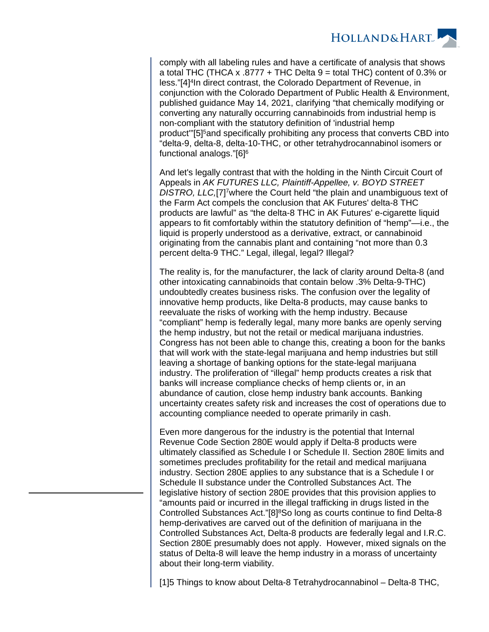**HOLLAND&HART** 

comply with all labeling rules and have a certificate of analysis that shows a total THC (THCA x .8777  $+$  THC Delta 9 = total THC) content of 0.3% or less."[4]<sup>4</sup>In direct contrast, the Colorado Department of Revenue, in conjunction with the Colorado Department of Public Health & Environment, published guidance May 14, 2021, clarifying "that chemically modifying or converting any naturally occurring cannabinoids from industrial hemp is non-compliant with the statutory definition of 'industrial hemp product"[5]<sup>5</sup>and specifically prohibiting any process that converts CBD into "delta-9, delta-8, delta-10-THC, or other tetrahydrocannabinol isomers or functional analogs."[6]<sup>6</sup>

And let's legally contrast that with the holding in the Ninth Circuit Court of Appeals in AK FUTURES LLC, Plaintiff-Appellee, v. BOYD STREET DISTRO, LLC,[7]<sup>7</sup>where the Court held "the plain and unambiguous text of the Farm Act compels the conclusion that AK Futures' delta-8 THC products are lawful" as "the delta-8 THC in AK Futures' e-cigarette liquid appears to fit comfortably within the statutory definition of "hemp"—i.e., the liquid is properly understood as a derivative, extract, or cannabinoid originating from the cannabis plant and containing "not more than 0.3 percent delta-9 THC." Legal, illegal, legal? Illegal?

The reality is, for the manufacturer, the lack of clarity around Delta-8 (and other intoxicating cannabinoids that contain below .3% Delta-9-THC) undoubtedly creates business risks. The confusion over the legality of innovative hemp products, like Delta-8 products, may cause banks to reevaluate the risks of working with the hemp industry. Because "compliant" hemp is federally legal, many more banks are openly serving the hemp industry, but not the retail or medical marijuana industries. Congress has not been able to change this, creating a boon for the banks that will work with the state-legal marijuana and hemp industries but still leaving a shortage of banking options for the state-legal marijuana industry. The proliferation of "illegal" hemp products creates a risk that banks will increase compliance checks of hemp clients or, in an abundance of caution, close hemp industry bank accounts. Banking uncertainty creates safety risk and increases the cost of operations due to accounting compliance needed to operate primarily in cash.

Even more dangerous for the industry is the potential that Internal Revenue Code Section 280E would apply if Delta-8 products were ultimately classified as Schedule I or Schedule II. Section 280E limits and sometimes precludes profitability for the retail and medical marijuana industry. Section 280E applies to any substance that is a Schedule I or Schedule II substance under the Controlled Substances Act. The legislative history of section 280E provides that this provision applies to "amounts paid or incurred in the illegal trafficking in drugs listed in the Controlled Substances Act."[8]<sup>8</sup>So long as courts continue to find Delta-8 hemp-derivatives are carved out of the definition of marijuana in the Controlled Substances Act, Delta-8 products are federally legal and I.R.C. Section 280E presumably does not apply. However, mixed signals on the status of Delta-8 will leave the hemp industry in a morass of uncertainty about their long-term viability.

[\[1\]](applewebdata://02715d2e-cb0d-4eaf-8e5b-c0f4d6adfa2e/#_ftnref1)5 Things to know about Delta-8 Tetrahydrocannabinol – Delta-8 THC,